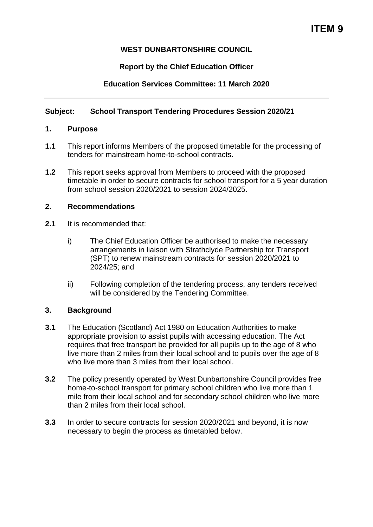# **WEST DUNBARTONSHIRE COUNCIL**

# **Report by the Chief Education Officer**

# **Education Services Committee: 11 March 2020**

## **Subject: School Transport Tendering Procedures Session 2020/21**

### **1. Purpose**

- **1.1** This report informs Members of the proposed timetable for the processing of tenders for mainstream home-to-school contracts.
- **1.2** This report seeks approval from Members to proceed with the proposed timetable in order to secure contracts for school transport for a 5 year duration from school session 2020/2021 to session 2024/2025.

### **2. Recommendations**

- **2.1** It is recommended that:
	- i) The Chief Education Officer be authorised to make the necessary arrangements in liaison with Strathclyde Partnership for Transport (SPT) to renew mainstream contracts for session 2020/2021 to 2024/25; and
	- ii) Following completion of the tendering process, any tenders received will be considered by the Tendering Committee.

### **3. Background**

- **3.1** The Education (Scotland) Act 1980 on Education Authorities to make appropriate provision to assist pupils with accessing education. The Act requires that free transport be provided for all pupils up to the age of 8 who live more than 2 miles from their local school and to pupils over the age of 8 who live more than 3 miles from their local school.
- **3.2** The policy presently operated by West Dunbartonshire Council provides free home-to-school transport for primary school children who live more than 1 mile from their local school and for secondary school children who live more than 2 miles from their local school.
- **3.3** In order to secure contracts for session 2020/2021 and beyond, it is now necessary to begin the process as timetabled below.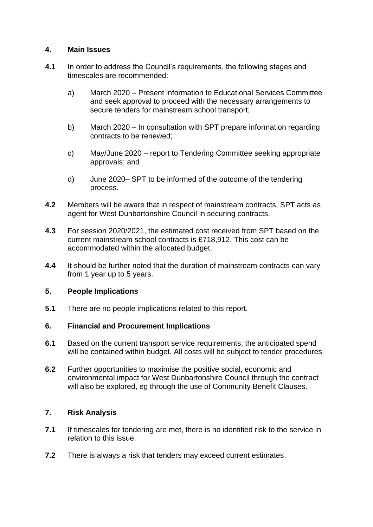### **4. Main Issues**

- **4.1** In order to address the Council's requirements, the following stages and timescales are recommended:
	- a) March 2020 Present information to Educational Services Committee and seek approval to proceed with the necessary arrangements to secure tenders for mainstream school transport;
	- b) March 2020 In consultation with SPT prepare information regarding contracts to be renewed;
	- c) May/June 2020 report to Tendering Committee seeking appropriate approvals; and
	- d) June 2020– SPT to be informed of the outcome of the tendering process.
- **4.2** Members will be aware that in respect of mainstream contracts, SPT acts as agent for West Dunbartonshire Council in securing contracts.
- **4.3** For session 2020/2021, the estimated cost received from SPT based on the current mainstream school contracts is £718,912. This cost can be accommodated within the allocated budget.
- **4.4** It should be further noted that the duration of mainstream contracts can vary from 1 year up to 5 years.

#### **5. People Implications**

**5.1** There are no people implications related to this report.

#### **6. Financial and Procurement Implications**

- **6.1** Based on the current transport service requirements, the anticipated spend will be contained within budget. All costs will be subject to tender procedures.
- **6.2** Further opportunities to maximise the positive social, economic and environmental impact for West Dunbartonshire Council through the contract will also be explored, eg through the use of Community Benefit Clauses.

#### **7. Risk Analysis**

- **7.1** If timescales for tendering are met, there is no identified risk to the service in relation to this issue.
- **7.2** There is always a risk that tenders may exceed current estimates.